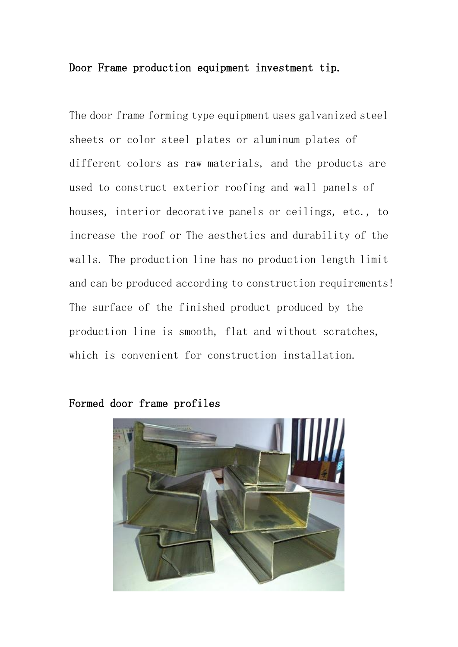## Door Frame production equipment investment tip.

The door frame forming type equipment uses galvanized steel sheets or color steel plates or aluminum plates of different colors as raw materials, and the products are used to construct exterior roofing and wall panels of houses, interior decorative panels or ceilings, etc., to increase the roof or The aesthetics and durability of the walls. The production line has no production length limit and can be produced according to construction requirements! The surface of the finished product produced by the production line is smooth, flat and without scratches, which is convenient for construction installation.



Formed door frame profiles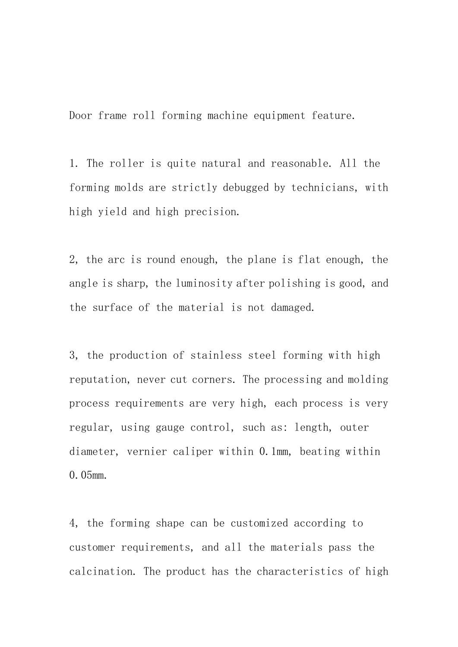Door frame roll forming machine equipment feature.

1. The roller is quite natural and reasonable. All the forming molds are strictly debugged by technicians, with high yield and high precision.

2, the arc is round enough, the plane is flat enough, the angle is sharp, the luminosity after polishing is good, and the surface of the material is not damaged.

3, the production of stainless steel forming with high reputation, never cut corners. The processing and molding process requirements are very high, each process is very regular, using gauge control, such as: length, outer diameter, vernier caliper within 0.1mm, beating within 0.05mm.

4, the forming shape can be customized according to customer requirements, and all the materials pass the calcination. The product has the characteristics of high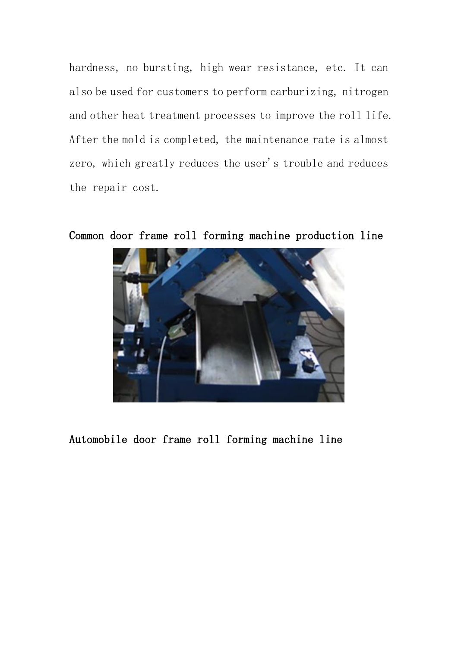hardness, no bursting, high wear resistance, etc. It can also be used for customers to perform carburizing, nitrogen and other heat treatment processes to improve the roll life. After the mold is completed, the maintenance rate is almost zero, which greatly reduces the user's trouble and reduces the repair cost.



Common door frame roll forming machine production line

Automobile door frame roll forming machine line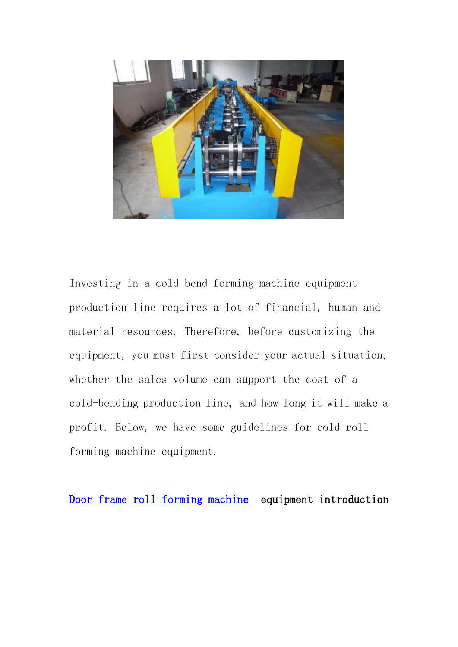

Investing in a cold bend forming machine equipment production line requires a lot of financial, human and material resources. Therefore, before customizing the equipment, you must first consider your actual situation, whether the sales volume can support the cost of a cold-bending production line, and how long it will make a profit. Below, we have some guidelines for cold roll forming machine equipment.

[Door frame roll forming machine](https://www.superdamc.com/door-industry-roll-forming-machine/) equipment introduction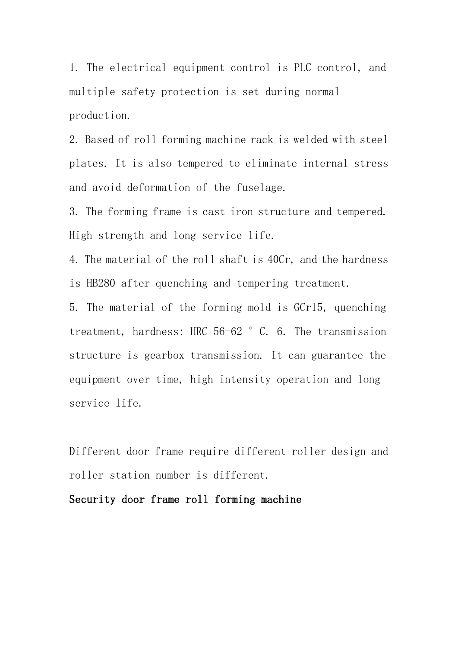1. The electrical equipment control is PLC control, and multiple safety protection is set during normal production.

2. Based of roll forming machine rack is welded with steel plates. It is also tempered to eliminate internal stress and avoid deformation of the fuselage.

3. The forming frame is cast iron structure and tempered. High strength and long service life.

4. The material of the roll shaft is 40Cr, and the hardness is HB280 after quenching and tempering treatment.

5. The material of the forming mold is GCr15, quenching treatment, hardness: HRC 56-62 °C. 6. The transmission structure is gearbox transmission. It can guarantee the equipment over time, high intensity operation and long service life.

Different door frame require different roller design and roller station number is different.

## Security door frame roll forming machine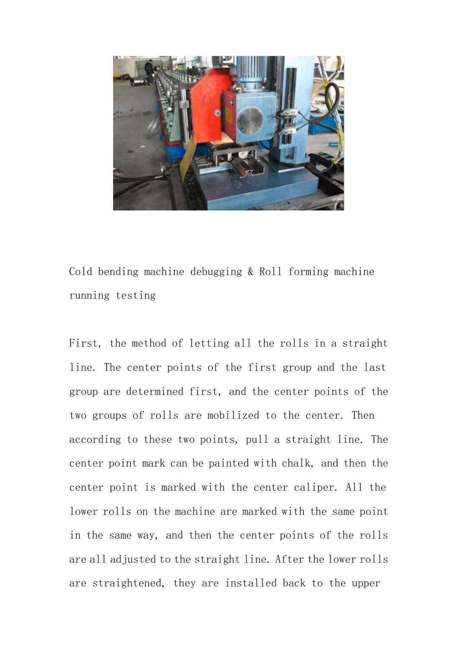

Cold bending machine debugging & Roll forming machine running testing

First, the method of letting all the rolls in a straight line. The center points of the first group and the last group are determined first, and the center points of the two groups of rolls are mobilized to the center. Then according to these two points, pull a straight line. The center point mark can be painted with chalk, and then the center point is marked with the center caliper. All the lower rolls on the machine are marked with the same point in the same way, and then the center points of the rolls are all adjusted to the straight line. After the lower rolls are straightened, they are installed back to the upper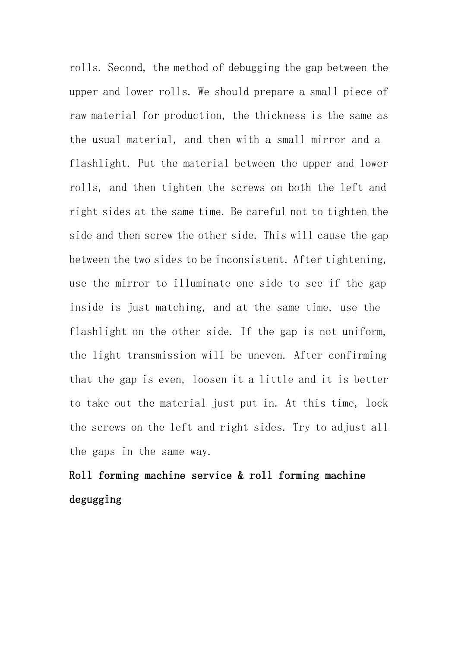rolls. Second, the method of debugging the gap between the upper and lower rolls. We should prepare a small piece of raw material for production, the thickness is the same as the usual material, and then with a small mirror and a flashlight. Put the material between the upper and lower rolls, and then tighten the screws on both the left and right sides at the same time. Be careful not to tighten the side and then screw the other side. This will cause the gap between the two sides to be inconsistent. After tightening, use the mirror to illuminate one side to see if the gap inside is just matching, and at the same time, use the flashlight on the other side. If the gap is not uniform, the light transmission will be uneven. After confirming that the gap is even, loosen it a little and it is better to take out the material just put in. At this time, lock the screws on the left and right sides. Try to adjust all the gaps in the same way.

## Roll forming machine service & roll forming machine degugging